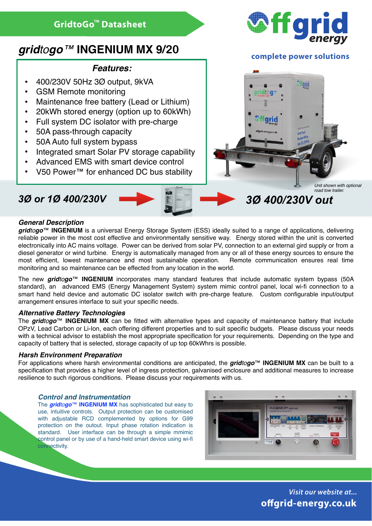# *gridtogo™* **INGENIUM MX 9/20**

## *Features:*

- 400/230V 50Hz 3Ø output, 9kVA
- GSM Remote monitoring
- Maintenance free battery (Lead or Lithium)
- 20kWh stored energy (option up to 60kWh)
- Full system DC isolator with pre-charge
- 50A pass-through capacity
- 50A Auto full system bypass
- Integrated smart Solar PV storage capability
- Advanced EMS with smart device control
- V50 Power™ for enhanced DC bus stability

# *3Ø or 1Ø 400/230V 3Ø 400/230V out*





### **complete power solutions**



*road tow trailer.*

#### *General Description*

*gridtogo*™ **INGENIUM** is a universal Energy Storage System (ESS) ideally suited to a range of applications, delivering reliable power in the most cost effective and environmentally sensitive way. Energy stored within the unit is converted electronically into AC mains voltage. Power can be derived from solar PV, connection to an external gird supply or from a diesel generator or wind turbine. Energy is automatically managed from any or all of these energy sources to ensure the most efficient, lowest maintenance and most sustainable operation. Remote communication ensures real time monitoring and so maintenance can be effected from any location in the world.

The new *gridtogo*™ **INGENIUM** incorporates many standard features that include automatic system bypass (50A standard), an advanced EMS (Energy Management System) system mimic control panel, local wi-fi connection to a smart hand held device and automatic DC isolator switch with pre-charge feature. Custom configurable input/output arrangement ensures interface to suit your specific needs.

#### *Alternative Battery Technologies*

The *gridtogo*™ **INGENIUM MX** can be fitted with alternative types and capacity of maintenance battery that include OPzV, Lead Carbon or Li-Ion, each offering different properties and to suit specific budgets. Please discuss your needs with a technical advisor to establish the most appropriate specification for your requirements. Depending on the type and capacity of battery that is selected, storage capacity of up top 60kWhrs is possible.

#### *Harsh Environment Preparation*

For applications where harsh environmental conditions are anticipated, the *gridtogo*™ **INGENIUM MX** can be built to a specification that provides a higher level of ingress protection, galvanised enclosure and additional measures to increase resilience to such rigorous conditions. Please discuss your requirements with us.

#### *Control and Instrumentation*

The *gridtogo*™ **INGENIUM MX** has sophisticated but easy to use, intuitive controls. Output protection can be customised with adjustable RCD complemented by options for G99 protection on the outout. Input phase rotation indication is standard. User interface can be through a simple mmimic control panel or by use of a hand-held smart device using wi-fi connectivity.



*Visit our website at...* **o!grid-energy.co.uk**